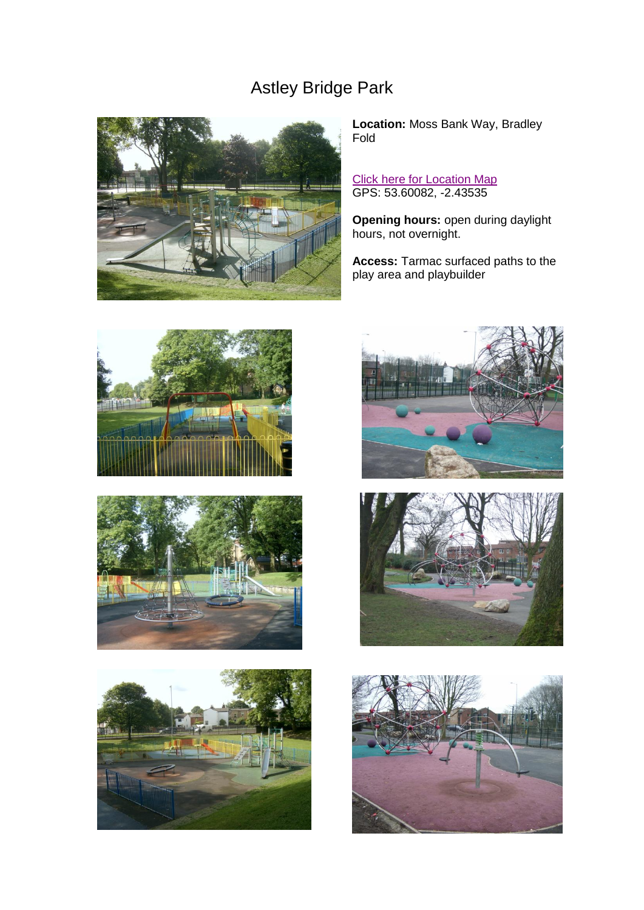## Astley Bridge Park



**Location:** Moss Bank Way, Bradley Fold

**[Click here for Location Map](http://maps.google.co.uk/maps?f=q&source=s_q&hl=en&q=Moss+Bank+Way,&sll=53.601104,-2.436079&sspn=0.002416,0.004812&ie=UTF8&radius=0.1&split=1&rq=1&ev=zi&hq=Moss+Bank+Way,&hnear=&ll=53.601782,-2.437602&spn=0.002416,0.006845&t=h&z=18)** GPS: 53.60082, -2.43535

**Opening hours:** open during daylight hours, not overnight.

**Access:** Tarmac surfaced paths to the play area and playbuilder